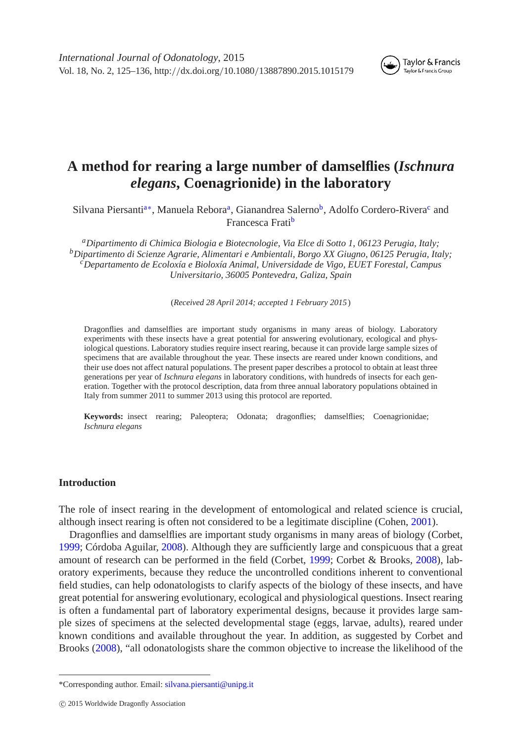

#### Taylor & Francis Taylor & Francis Group

# **A method for rearing a large number of damselflies (***Ischnura elegans***, Coenagrionide) in the laboratory**

Silvana Piersanti<sup>a∗</sup>, Manuela Rebora<sup>a</sup>, G[ia](#page-0-0)nandrea Salerno<sup>b</sup>, Adolfo Cordero-Rivera<sup>c</sup> and Francesca Frati[b](#page-0-2)

<span id="page-0-3"></span><span id="page-0-2"></span><span id="page-0-0"></span>*aDipartimento di Chimica Biologia e Biotecnologie, Via Elce di Sotto 1, 06123 Perugia, Italy; bDipartimento di Scienze Agrarie, Alimentari e Ambientali, Borgo XX Giugno, 06125 Perugia, Italy; cDepartamento de Ecoloxía e Bioloxía Animal, Universidade de Vigo, EUET Forestal, Campus Universitario, 36005 Pontevedra, Galiza, Spain*

(*Received 28 April 2014; accepted 1 February 2015* )

Dragonflies and damselflies are important study organisms in many areas of biology. Laboratory experiments with these insects have a great potential for answering evolutionary, ecological and physiological questions. Laboratory studies require insect rearing, because it can provide large sample sizes of specimens that are available throughout the year. These insects are reared under known conditions, and their use does not affect natural populations. The present paper describes a protocol to obtain at least three generations per year of *Ischnura elegans* in laboratory conditions, with hundreds of insects for each generation. Together with the protocol description, data from three annual laboratory populations obtained in Italy from summer 2011 to summer 2013 using this protocol are reported.

**Keywords:** insect rearing; Paleoptera; Odonata; dragonflies; damselflies; Coenagrionidae; *Ischnura elegans*

# **Introduction**

The role of insect rearing in the development of entomological and related science is crucial, although insect rearing is often not considered to be a legitimate discipline (Cohen, [2001\)](#page-10-0).

Dragonflies and damselflies are important study organisms in many areas of biology (Corbet, [1999;](#page-10-1) Córdoba Aguilar, [2008\)](#page-11-0). Although they are sufficiently large and conspicuous that a great amount of research can be performed in the field (Corbet, [1999;](#page-10-1) Corbet & Brooks, [2008\)](#page-10-2), laboratory experiments, because they reduce the uncontrolled conditions inherent to conventional field studies, can help odonatologists to clarify aspects of the biology of these insects, and have great potential for answering evolutionary, ecological and physiological questions. Insect rearing is often a fundamental part of laboratory experimental designs, because it provides large sample sizes of specimens at the selected developmental stage (eggs, larvae, adults), reared under known conditions and available throughout the year. In addition, as suggested by Corbet and Brooks [\(2008\)](#page-10-2), "all odonatologists share the common objective to increase the likelihood of the

<span id="page-0-1"></span><sup>\*</sup>Corresponding author. Email: [silvana.piersanti@unipg.it](mailto:silvana.piersanti@unipg.it)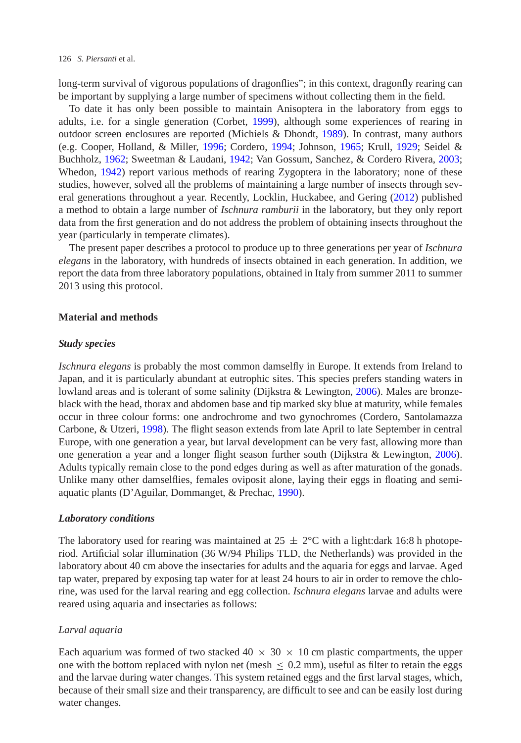long-term survival of vigorous populations of dragonflies"; in this context, dragonfly rearing can be important by supplying a large number of specimens without collecting them in the field.

To date it has only been possible to maintain Anisoptera in the laboratory from eggs to adults, i.e. for a single generation (Corbet, [1999\)](#page-10-1), although some experiences of rearing in outdoor screen enclosures are reported (Michiels & Dhondt, [1989\)](#page-11-1). In contrast, many authors (e.g. Cooper, Holland, & Miller, [1996;](#page-10-3) Cordero, [1994;](#page-10-4) Johnson, [1965;](#page-11-2) Krull, [1929;](#page-11-3) Seidel & Buchholz, [1962;](#page-11-4) Sweetman & Laudani, [1942;](#page-11-5) Van Gossum, Sanchez, & Cordero Rivera, [2003;](#page-11-6) Whedon, [1942\)](#page-11-7) report various methods of rearing Zygoptera in the laboratory; none of these studies, however, solved all the problems of maintaining a large number of insects through several generations throughout a year. Recently, Locklin, Huckabee, and Gering [\(2012\)](#page-11-8) published a method to obtain a large number of *Ischnura ramburii* in the laboratory, but they only report data from the first generation and do not address the problem of obtaining insects throughout the year (particularly in temperate climates).

The present paper describes a protocol to produce up to three generations per year of *Ischnura elegans* in the laboratory, with hundreds of insects obtained in each generation. In addition, we report the data from three laboratory populations, obtained in Italy from summer 2011 to summer 2013 using this protocol.

### **Material and methods**

### *Study species*

*Ischnura elegans* is probably the most common damselfly in Europe. It extends from Ireland to Japan, and it is particularly abundant at eutrophic sites. This species prefers standing waters in lowland areas and is tolerant of some salinity (Dijkstra & Lewington, [2006\)](#page-11-9). Males are bronzeblack with the head, thorax and abdomen base and tip marked sky blue at maturity, while females occur in three colour forms: one androchrome and two gynochromes (Cordero, Santolamazza Carbone, & Utzeri, [1998\)](#page-10-5). The flight season extends from late April to late September in central Europe, with one generation a year, but larval development can be very fast, allowing more than one generation a year and a longer flight season further south (Dijkstra & Lewington, [2006\)](#page-11-10). Adults typically remain close to the pond edges during as well as after maturation of the gonads. Unlike many other damselflies, females oviposit alone, laying their eggs in floating and semiaquatic plants (D'Aguilar, Dommanget, & Prechac, [1990\)](#page-11-11).

### *Laboratory conditions*

The laboratory used for rearing was maintained at  $25 \pm 2$ °C with a light:dark 16:8 h photoperiod. Artificial solar illumination (36 W/94 Philips TLD, the Netherlands) was provided in the laboratory about 40 cm above the insectaries for adults and the aquaria for eggs and larvae. Aged tap water, prepared by exposing tap water for at least 24 hours to air in order to remove the chlorine, was used for the larval rearing and egg collection. *Ischnura elegans* larvae and adults were reared using aquaria and insectaries as follows:

### *Larval aquaria*

Each aquarium was formed of two stacked  $40 \times 30 \times 10$  cm plastic compartments, the upper one with the bottom replaced with nylon net (mesh  $\leq 0.2$  mm), useful as filter to retain the eggs and the larvae during water changes. This system retained eggs and the first larval stages, which, because of their small size and their transparency, are difficult to see and can be easily lost during water changes.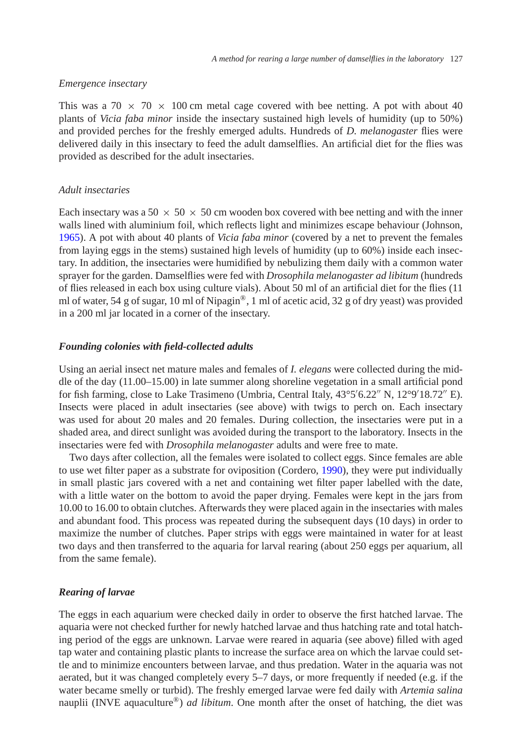# *Emergence insectary*

This was a 70  $\times$  70  $\times$  100 cm metal cage covered with bee netting. A pot with about 40 plants of *Vicia faba minor* inside the insectary sustained high levels of humidity (up to 50%) and provided perches for the freshly emerged adults. Hundreds of *D. melanogaster* flies were delivered daily in this insectary to feed the adult damselflies. An artificial diet for the flies was provided as described for the adult insectaries.

# *Adult insectaries*

Each insectary was a 50  $\times$  50  $\times$  50 cm wooden box covered with bee netting and with the inner walls lined with aluminium foil, which reflects light and minimizes escape behaviour (Johnson, [1965\)](#page-11-2). A pot with about 40 plants of *Vicia faba minor* (covered by a net to prevent the females from laying eggs in the stems) sustained high levels of humidity (up to 60%) inside each insectary. In addition, the insectaries were humidified by nebulizing them daily with a common water sprayer for the garden. Damselflies were fed with *Drosophila melanogaster ad libitum* (hundreds of flies released in each box using culture vials). About 50 ml of an artificial diet for the flies (11 ml of water, 54 g of sugar, 10 ml of Nipagin<sup>®</sup>, 1 ml of acetic acid, 32 g of dry yeast) was provided in a 200 ml jar located in a corner of the insectary.

### *Founding colonies with field-collected adults*

Using an aerial insect net mature males and females of *I. elegans* were collected during the middle of the day (11.00–15.00) in late summer along shoreline vegetation in a small artificial pond for fish farming, close to Lake Trasimeno (Umbria, Central Italy, 43°5'6.22" N, 12°9'18.72" E). Insects were placed in adult insectaries (see above) with twigs to perch on. Each insectary was used for about 20 males and 20 females. During collection, the insectaries were put in a shaded area, and direct sunlight was avoided during the transport to the laboratory. Insects in the insectaries were fed with *Drosophila melanogaster* adults and were free to mate.

Two days after collection, all the females were isolated to collect eggs. Since females are able to use wet filter paper as a substrate for oviposition (Cordero, [1990\)](#page-10-6), they were put individually in small plastic jars covered with a net and containing wet filter paper labelled with the date, with a little water on the bottom to avoid the paper drying. Females were kept in the jars from 10.00 to 16.00 to obtain clutches. Afterwards they were placed again in the insectaries with males and abundant food. This process was repeated during the subsequent days (10 days) in order to maximize the number of clutches. Paper strips with eggs were maintained in water for at least two days and then transferred to the aquaria for larval rearing (about 250 eggs per aquarium, all from the same female).

# *Rearing of larvae*

The eggs in each aquarium were checked daily in order to observe the first hatched larvae. The aquaria were not checked further for newly hatched larvae and thus hatching rate and total hatching period of the eggs are unknown. Larvae were reared in aquaria (see above) filled with aged tap water and containing plastic plants to increase the surface area on which the larvae could settle and to minimize encounters between larvae, and thus predation. Water in the aquaria was not aerated, but it was changed completely every 5–7 days, or more frequently if needed (e.g. if the water became smelly or turbid). The freshly emerged larvae were fed daily with *Artemia salina* nauplii (INVE aquaculture®) *ad libitum*. One month after the onset of hatching, the diet was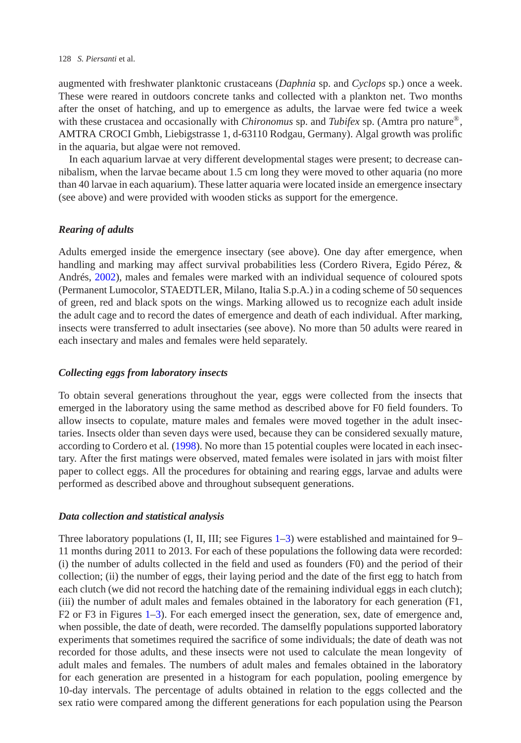#### 128 *S. Piersanti* et al.

augmented with freshwater planktonic crustaceans (*Daphnia* sp. and *Cyclops* sp.) once a week. These were reared in outdoors concrete tanks and collected with a plankton net. Two months after the onset of hatching, and up to emergence as adults, the larvae were fed twice a week with these crustacea and occasionally with *Chironomus* sp. and *Tubifex* sp. (Amtra pro nature®, AMTRA CROCI Gmbh, Liebigstrasse 1, d-63110 Rodgau, Germany). Algal growth was prolific in the aquaria, but algae were not removed.

In each aquarium larvae at very different developmental stages were present; to decrease cannibalism, when the larvae became about 1.5 cm long they were moved to other aquaria (no more than 40 larvae in each aquarium). These latter aquaria were located inside an emergence insectary (see above) and were provided with wooden sticks as support for the emergence.

### *Rearing of adults*

Adults emerged inside the emergence insectary (see above). One day after emergence, when handling and marking may affect survival probabilities less (Cordero Rivera, Egido Pérez, & Andrés, [2002\)](#page-10-7), males and females were marked with an individual sequence of coloured spots (Permanent Lumocolor, STAEDTLER, Milano, Italia S.p.A.) in a coding scheme of 50 sequences of green, red and black spots on the wings. Marking allowed us to recognize each adult inside the adult cage and to record the dates of emergence and death of each individual. After marking, insects were transferred to adult insectaries (see above). No more than 50 adults were reared in each insectary and males and females were held separately.

# *Collecting eggs from laboratory insects*

To obtain several generations throughout the year, eggs were collected from the insects that emerged in the laboratory using the same method as described above for F0 field founders. To allow insects to copulate, mature males and females were moved together in the adult insectaries. Insects older than seven days were used, because they can be considered sexually mature, according to Cordero et al*.* [\(1998\)](#page-10-5). No more than 15 potential couples were located in each insectary. After the first matings were observed, mated females were isolated in jars with moist filter paper to collect eggs. All the procedures for obtaining and rearing eggs, larvae and adults were performed as described above and throughout subsequent generations.

### *Data collection and statistical analysis*

Three laboratory populations (I, II, III; see Figures [1](#page-4-0)[–3\)](#page-5-0) were established and maintained for 9– 11 months during 2011 to 2013. For each of these populations the following data were recorded: (i) the number of adults collected in the field and used as founders (F0) and the period of their collection; (ii) the number of eggs, their laying period and the date of the first egg to hatch from each clutch (we did not record the hatching date of the remaining individual eggs in each clutch); (iii) the number of adult males and females obtained in the laboratory for each generation (F1, F2 or F3 in Figures [1](#page-4-0)[–3\)](#page-5-0). For each emerged insect the generation, sex, date of emergence and, when possible, the date of death, were recorded. The damselfly populations supported laboratory experiments that sometimes required the sacrifice of some individuals; the date of death was not recorded for those adults, and these insects were not used to calculate the mean longevity of adult males and females. The numbers of adult males and females obtained in the laboratory for each generation are presented in a histogram for each population, pooling emergence by 10-day intervals. The percentage of adults obtained in relation to the eggs collected and the sex ratio were compared among the different generations for each population using the Pearson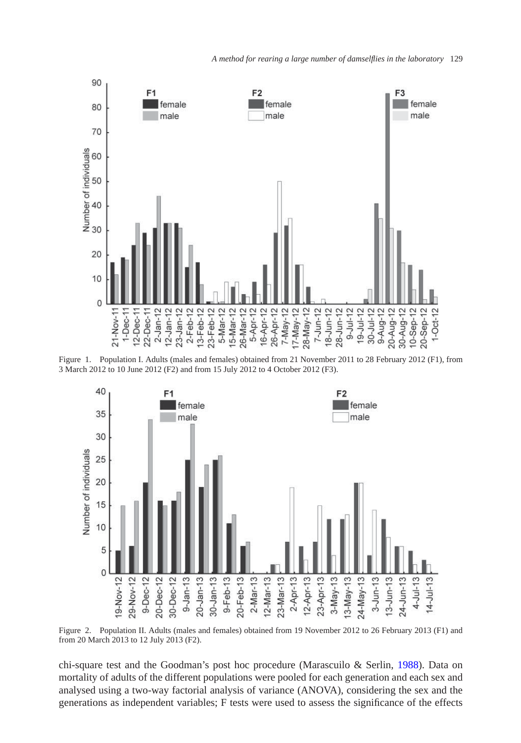

Figure 1. Population I. Adults (males and females) obtained from 21 November 2011 to 28 February 2012 (F1), from 3 March 2012 to 10 June 2012 (F2) and from 15 July 2012 to 4 October 2012 (F3).

<span id="page-4-0"></span>

Figure 2. Population II. Adults (males and females) obtained from 19 November 2012 to 26 February 2013 (F1) and from 20 March 2013 to 12 July 2013 (F2).

chi-square test and the Goodman's post hoc procedure (Marascuilo & Serlin, [1988\)](#page-11-12). Data on mortality of adults of the different populations were pooled for each generation and each sex and analysed using a two-way factorial analysis of variance (ANOVA), considering the sex and the generations as independent variables; F tests were used to assess the significance of the effects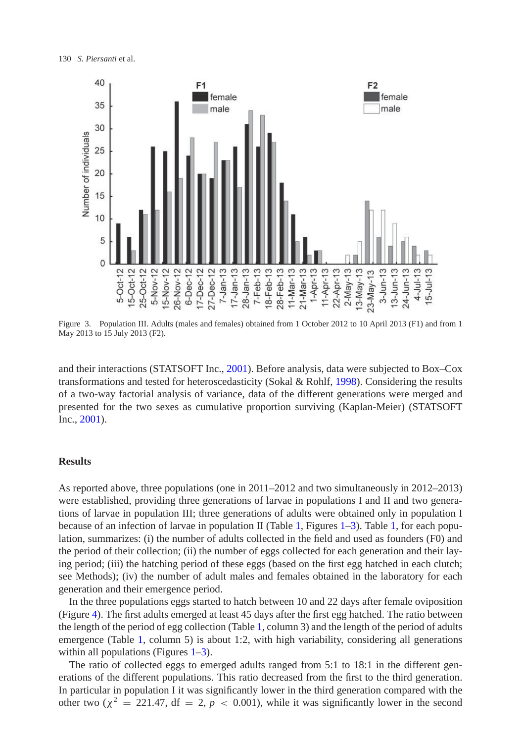

<span id="page-5-0"></span>Figure 3. Population III. Adults (males and females) obtained from 1 October 2012 to 10 April 2013 (F1) and from 1 May 2013 to 15 July 2013 (F2).

and their interactions (STATSOFT Inc., [2001\)](#page-11-13). Before analysis, data were subjected to Box–Cox transformations and tested for heteroscedasticity (Sokal & Rohlf, [1998\)](#page-11-14). Considering the results of a two-way factorial analysis of variance, data of the different generations were merged and presented for the two sexes as cumulative proportion surviving (Kaplan-Meier) (STATSOFT Inc., [2001\)](#page-11-13).

# **Results**

As reported above, three populations (one in 2011–2012 and two simultaneously in 2012–2013) were established, providing three generations of larvae in populations I and II and two generations of larvae in population III; three generations of adults were obtained only in population I because of an infection of larvae in population II (Table [1,](#page-6-0) Figures  $1-3$  $1-3$ ). Table 1, for each population, summarizes: (i) the number of adults collected in the field and used as founders (F0) and the period of their collection; (ii) the number of eggs collected for each generation and their laying period; (iii) the hatching period of these eggs (based on the first egg hatched in each clutch; see Methods); (iv) the number of adult males and females obtained in the laboratory for each generation and their emergence period.

In the three populations eggs started to hatch between 10 and 22 days after female oviposition (Figure [4\)](#page-7-0). The first adults emerged at least 45 days after the first egg hatched. The ratio between the length of the period of egg collection (Table [1,](#page-6-0) column 3) and the length of the period of adults emergence (Table [1,](#page-6-0) column 5) is about 1:2, with high variability, considering all generations within all populations (Figures  $1-3$ ).

The ratio of collected eggs to emerged adults ranged from 5:1 to 18:1 in the different generations of the different populations. This ratio decreased from the first to the third generation. In particular in population I it was significantly lower in the third generation compared with the other two ( $\chi^2 = 221.47$ , df = 2, p < 0.001), while it was significantly lower in the second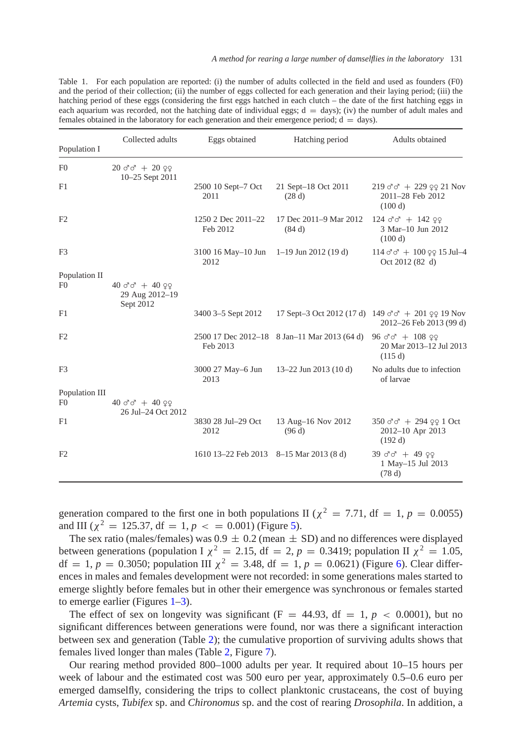<span id="page-6-0"></span>Table 1. For each population are reported: (i) the number of adults collected in the field and used as founders (F0) and the period of their collection; (ii) the number of eggs collected for each generation and their laying period; (iii) the hatching period of these eggs (considering the first eggs hatched in each clutch – the date of the first hatching eggs in each aquarium was recorded, not the hatching date of individual eggs;  $d = days$ ; (iv) the number of adult males and females obtained in the laboratory for each generation and their emergence period;  $d = days$ ).

| Population I                     | Collected adults                                                       | Eggs obtained                                   | Hatching period                              | Adults obtained                                                                                                                                                  |
|----------------------------------|------------------------------------------------------------------------|-------------------------------------------------|----------------------------------------------|------------------------------------------------------------------------------------------------------------------------------------------------------------------|
| F <sub>0</sub>                   | $20 \text{ d} \text{d} + 20 \text{ }99$<br>10–25 Sept 2011             |                                                 |                                              |                                                                                                                                                                  |
| F1                               |                                                                        | 2500 10 Sept-7 Oct<br>2011                      | 21 Sept-18 Oct 2011<br>(28d)                 | $219 \text{ } \sigma \sigma + 229 \text{ } \text{ } \text{ } \text{ } \text{ } \text{ } \text{ } \text{ } \text{ } \text{21 Nov}$<br>2011-28 Feb 2012<br>(100 d) |
| F <sub>2</sub>                   |                                                                        | 1250 2 Dec 2011-22<br>Feb 2012                  | 17 Dec 2011-9 Mar 2012<br>(84 d)             | $124 \text{ d} \text{d} + 142 \text{ } \text{Q} \text{d}$<br>3 Mar-10 Jun 2012<br>(100 d)                                                                        |
| F <sub>3</sub>                   |                                                                        | 3100 16 May–10 Jun 1–19 Jun 2012 (19 d)<br>2012 |                                              | $114 \text{ } \text{C} \text{ } \text{C}$ + $100 \text{ } \text{Q} \text{ } 15 \text{ Jul} - 4$<br>Oct 2012 (82 d)                                               |
| Population II<br>F <sub>0</sub>  | $40 \text{ } \sigma \sigma + 40 \text{ } \text{ }99$<br>29 Aug 2012-19 |                                                 |                                              |                                                                                                                                                                  |
| F1                               | Sept 2012                                                              | 3400 3–5 Sept 2012                              |                                              | 17 Sept-3 Oct 2012 (17 d) 149 $\sigma \sigma$ + 201 $\Omega$ 19 Nov<br>2012-26 Feb 2013 (99 d)                                                                   |
| F <sub>2</sub>                   |                                                                        | Feb 2013                                        | 2500 17 Dec 2012-18 8 Jan-11 Mar 2013 (64 d) | $96 \text{ d} \text{d} + 108 \text{ q}$<br>20 Mar 2013-12 Jul 2013<br>(115 d)                                                                                    |
| F <sub>3</sub>                   |                                                                        | 3000 27 May-6 Jun<br>2013                       | 13-22 Jun 2013 (10 d)                        | No adults due to infection<br>of larvae                                                                                                                          |
| Population III<br>F <sub>0</sub> | $40 \text{ } \sigma \sigma + 40 \text{ } \Omega$<br>26 Jul-24 Oct 2012 |                                                 |                                              |                                                                                                                                                                  |
| F1                               |                                                                        | 3830 28 Jul-29 Oct<br>2012                      | 13 Aug-16 Nov 2012<br>(96 d)                 | $350 \text{ d} \text{d} + 294 \text{ q} \text{ q}$ 1 Oct<br>2012-10 Apr 2013<br>(192 d)                                                                          |
| F <sub>2</sub>                   |                                                                        | 1610 13–22 Feb 2013 8–15 Mar 2013 (8 d)         |                                              | $39 \text{ d} \text{d} + 49 \text{ q}$<br>1 May-15 Jul 2013<br>(78d)                                                                                             |

generation compared to the first one in both populations II ( $\chi^2 = 7.71$ , df = 1, *p* = 0.0055) and III ( $\chi^2 = 125.37$ , df = 1,  $p \leq 0.001$ ) (Figure [5\)](#page-7-1).

The sex ratio (males/females) was  $0.9 \pm 0.2$  (mean  $\pm$  SD) and no differences were displayed between generations (population I  $\chi^2 = 2.15$ , df = 2,  $p = 0.3419$ ; population II  $\chi^2 = 1.05$ , df = 1,  $p = 0.3050$ ; population III  $\chi^2 = 3.48$ , df = 1,  $p = 0.0621$ ) (Figure [6\)](#page-8-0). Clear differences in males and females development were not recorded: in some generations males started to emerge slightly before females but in other their emergence was synchronous or females started to emerge earlier (Figures [1](#page-4-0)[–3\)](#page-5-0).

The effect of sex on longevity was significant (F = 44.93, df = 1,  $p < 0.0001$ ), but no significant differences between generations were found, nor was there a significant interaction between sex and generation (Table [2\)](#page-8-1); the cumulative proportion of surviving adults shows that females lived longer than males (Table [2,](#page-8-1) Figure [7\)](#page-9-0).

Our rearing method provided 800–1000 adults per year. It required about 10–15 hours per week of labour and the estimated cost was 500 euro per year, approximately 0.5–0.6 euro per emerged damselfly, considering the trips to collect planktonic crustaceans, the cost of buying *Artemia* cysts, *Tubifex* sp. and *Chironomus* sp. and the cost of rearing *Drosophila*. In addition, a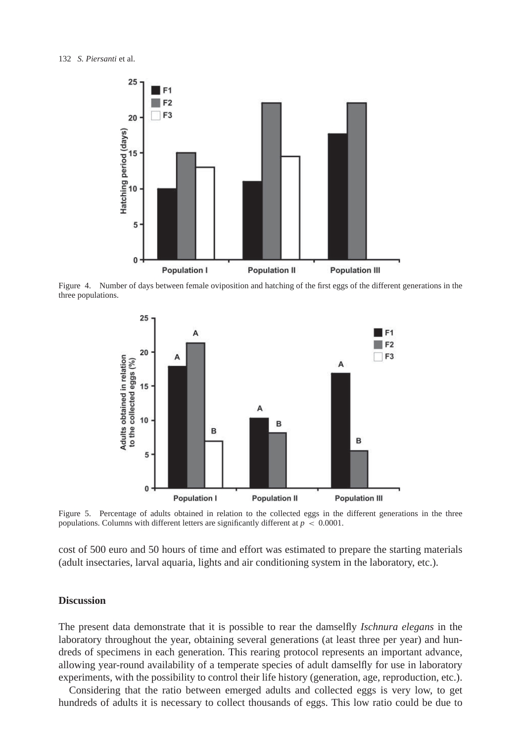

Figure 4. Number of days between female oviposition and hatching of the first eggs of the different generations in the three populations.

<span id="page-7-0"></span>

<span id="page-7-1"></span>Figure 5. Percentage of adults obtained in relation to the collected eggs in the different generations in the three populations. Columns with different letters are significantly different at  $p < 0.0001$ .

cost of 500 euro and 50 hours of time and effort was estimated to prepare the starting materials (adult insectaries, larval aquaria, lights and air conditioning system in the laboratory, etc.).

# **Discussion**

The present data demonstrate that it is possible to rear the damselfly *Ischnura elegans* in the laboratory throughout the year, obtaining several generations (at least three per year) and hundreds of specimens in each generation. This rearing protocol represents an important advance, allowing year-round availability of a temperate species of adult damselfly for use in laboratory experiments, with the possibility to control their life history (generation, age, reproduction, etc.).

Considering that the ratio between emerged adults and collected eggs is very low, to get hundreds of adults it is necessary to collect thousands of eggs. This low ratio could be due to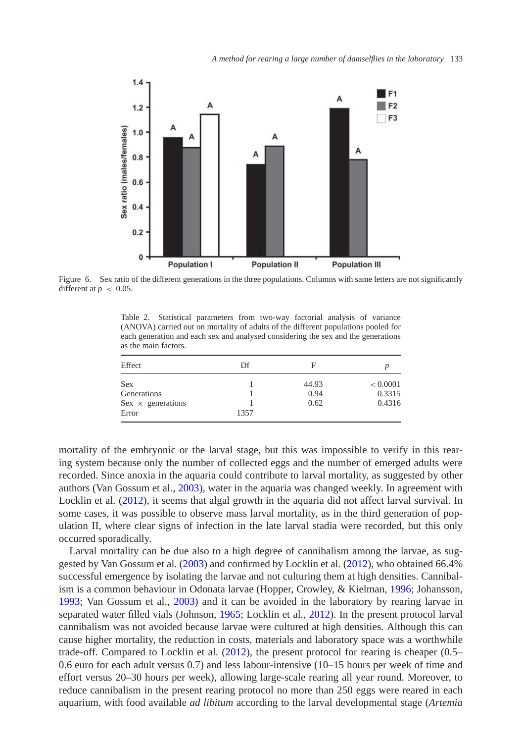

Figure 6. Sex ratio of the different generations in the three populations. Columns with same letters are not significantly different at  $p < 0.05$ .

<span id="page-8-1"></span><span id="page-8-0"></span>Table 2. Statistical parameters from two-way factorial analysis of variance (ANOVA) carried out on mortality of adults of the different populations pooled for each generation and each sex and analysed considering the sex and the generations as the main factors.

| Effect                   | Df   | F     |          |
|--------------------------|------|-------|----------|
| <b>Sex</b>               |      | 44.93 | < 0.0001 |
| Generations              |      | 0.94  | 0.3315   |
| $Sex \times$ generations |      | 0.62  | 0.4316   |
| Error                    | 1357 |       |          |

mortality of the embryonic or the larval stage, but this was impossible to verify in this rearing system because only the number of collected eggs and the number of emerged adults were recorded. Since anoxia in the aquaria could contribute to larval mortality, as suggested by other authors (Van Gossum et al., [2003\)](#page-11-6), water in the aquaria was changed weekly. In agreement with Locklin et al. [\(2012\)](#page-11-8), it seems that algal growth in the aquaria did not affect larval survival. In some cases, it was possible to observe mass larval mortality, as in the third generation of population II, where clear signs of infection in the late larval stadia were recorded, but this only occurred sporadically.

Larval mortality can be due also to a high degree of cannibalism among the larvae, as suggested by Van Gossum et al*.* [\(2003\)](#page-11-6) and confirmed by Locklin et al. [\(2012\)](#page-11-8), who obtained 66.4% successful emergence by isolating the larvae and not culturing them at high densities. Cannibalism is a common behaviour in Odonata larvae (Hopper, Crowley, & Kielman, [1996;](#page-11-15) Johansson, [1993;](#page-11-16) Van Gossum et al., [2003\)](#page-11-6) and it can be avoided in the laboratory by rearing larvae in separated water filled vials (Johnson, [1965;](#page-11-2) Locklin et al*.*, [2012\)](#page-11-8). In the present protocol larval cannibalism was not avoided because larvae were cultured at high densities. Although this can cause higher mortality, the reduction in costs, materials and laboratory space was a worthwhile trade-off. Compared to Locklin et al. [\(2012\)](#page-11-8), the present protocol for rearing is cheaper (0.5– 0.6 euro for each adult versus 0.7) and less labour-intensive (10–15 hours per week of time and effort versus 20–30 hours per week), allowing large-scale rearing all year round. Moreover, to reduce cannibalism in the present rearing protocol no more than 250 eggs were reared in each aquarium, with food available *ad libitum* according to the larval developmental stage (*Artemia*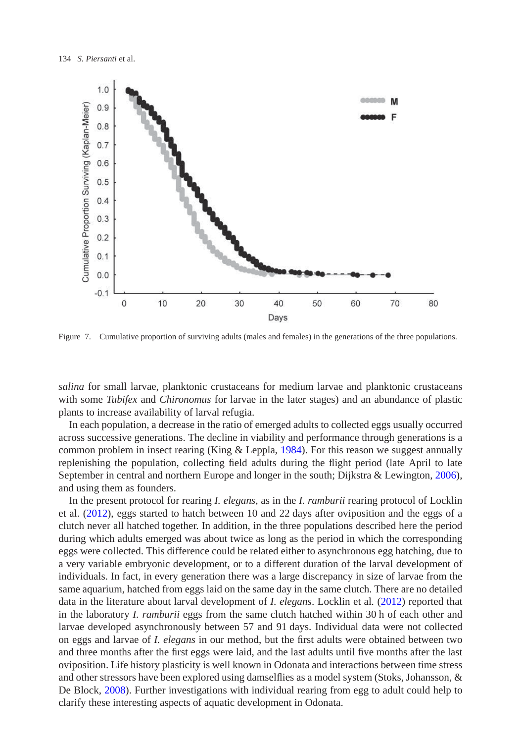

<span id="page-9-0"></span>Figure 7. Cumulative proportion of surviving adults (males and females) in the generations of the three populations.

*salina* for small larvae, planktonic crustaceans for medium larvae and planktonic crustaceans with some *Tubifex* and *Chironomus* for larvae in the later stages) and an abundance of plastic plants to increase availability of larval refugia.

In each population, a decrease in the ratio of emerged adults to collected eggs usually occurred across successive generations. The decline in viability and performance through generations is a common problem in insect rearing (King & Leppla, [1984\)](#page-11-17). For this reason we suggest annually replenishing the population, collecting field adults during the flight period (late April to late September in central and northern Europe and longer in the south; Dijkstra & Lewington, [2006\)](#page-11-9), and using them as founders.

In the present protocol for rearing *I. elegans*, as in the *I. ramburii* rearing protocol of Locklin et al. [\(2012\)](#page-11-8), eggs started to hatch between 10 and 22 days after oviposition and the eggs of a clutch never all hatched together. In addition, in the three populations described here the period during which adults emerged was about twice as long as the period in which the corresponding eggs were collected. This difference could be related either to asynchronous egg hatching, due to a very variable embryonic development, or to a different duration of the larval development of individuals. In fact, in every generation there was a large discrepancy in size of larvae from the same aquarium, hatched from eggs laid on the same day in the same clutch. There are no detailed data in the literature about larval development of *I. elegans*. Locklin et al*.* [\(2012\)](#page-11-8) reported that in the laboratory *I. ramburii* eggs from the same clutch hatched within 30 h of each other and larvae developed asynchronously between 57 and 91 days. Individual data were not collected on eggs and larvae of *I. elegans* in our method, but the first adults were obtained between two and three months after the first eggs were laid, and the last adults until five months after the last oviposition. Life history plasticity is well known in Odonata and interactions between time stress and other stressors have been explored using damselflies as a model system (Stoks, Johansson, & De Block, [2008\)](#page-11-18). Further investigations with individual rearing from egg to adult could help to clarify these interesting aspects of aquatic development in Odonata.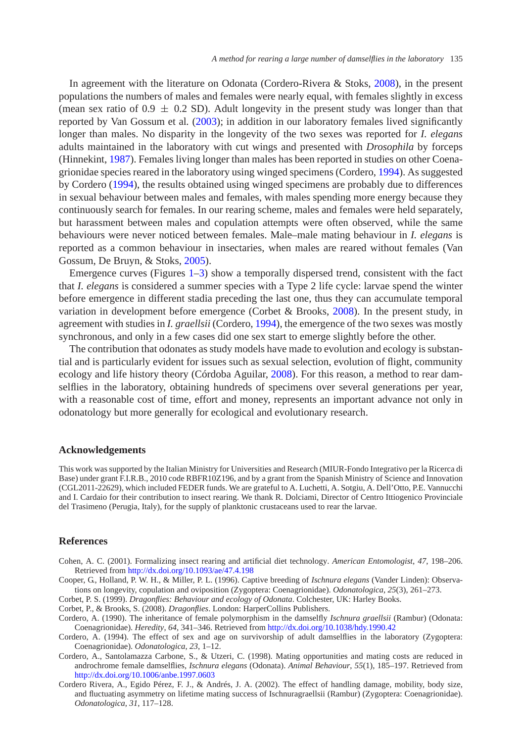In agreement with the literature on Odonata (Cordero-Rivera & Stoks, [2008\)](#page-11-19), in the present populations the numbers of males and females were nearly equal, with females slightly in excess (mean sex ratio of  $0.9 \pm 0.2$  SD). Adult longevity in the present study was longer than that reported by Van Gossum et al*.* [\(2003\)](#page-11-6); in addition in our laboratory females lived significantly longer than males. No disparity in the longevity of the two sexes was reported for *I. elegans* adults maintained in the laboratory with cut wings and presented with *Drosophila* by forceps (Hinnekint, [1987\)](#page-11-10). Females living longer than males has been reported in studies on other Coenagrionidae species reared in the laboratory using winged specimens (Cordero, [1994\)](#page-10-4). As suggested by Cordero [\(1994\)](#page-10-4), the results obtained using winged specimens are probably due to differences in sexual behaviour between males and females, with males spending more energy because they continuously search for females. In our rearing scheme, males and females were held separately, but harassment between males and copulation attempts were often observed, while the same behaviours were never noticed between females. Male–male mating behaviour in *I. elegans* is reported as a common behaviour in insectaries, when males are reared without females (Van Gossum, De Bruyn, & Stoks, [2005\)](#page-11-20).

Emergence curves (Figures  $1-3$ ) show a temporally dispersed trend, consistent with the fact that *I. elegans* is considered a summer species with a Type 2 life cycle: larvae spend the winter before emergence in different stadia preceding the last one, thus they can accumulate temporal variation in development before emergence (Corbet & Brooks, [2008\)](#page-10-2). In the present study, in agreement with studies in *I. graellsii* (Cordero, [1994\)](#page-10-4), the emergence of the two sexes was mostly synchronous, and only in a few cases did one sex start to emerge slightly before the other.

The contribution that odonates as study models have made to evolution and ecology is substantial and is particularly evident for issues such as sexual selection, evolution of flight, community ecology and life history theory (Córdoba Aguilar, [2008\)](#page-11-0). For this reason, a method to rear damselflies in the laboratory, obtaining hundreds of specimens over several generations per year, with a reasonable cost of time, effort and money, represents an important advance not only in odonatology but more generally for ecological and evolutionary research.

# **Acknowledgements**

This work was supported by the Italian Ministry for Universities and Research (MIUR-Fondo Integrativo per la Ricerca di Base) under grant F.I.R.B., 2010 code RBFR10Z196, and by a grant from the Spanish Ministry of Science and Innovation (CGL2011-22629), which included FEDER funds. We are grateful to A. Luchetti, A. Sotgiu, A. Dell'Otto, P.E. Vannucchi and I. Cardaio for their contribution to insect rearing. We thank R. Dolciami, Director of Centro Ittiogenico Provinciale del Trasimeno (Perugia, Italy), for the supply of planktonic crustaceans used to rear the larvae.

### **References**

- <span id="page-10-0"></span>Cohen, A. C. (2001). Formalizing insect rearing and artificial diet technology. *American Entomologist*, *47*, 198–206. Retrieved from <http://dx.doi.org/10.1093/ae/47.4.198>
- <span id="page-10-3"></span>Cooper, G., Holland, P. W. H., & Miller, P. L. (1996). Captive breeding of *Ischnura elegans* (Vander Linden): Observations on longevity, copulation and oviposition (Zygoptera: Coenagrionidae). *Odonatologica*, *25*(3), 261–273.
- Corbet, P. S. (1999). *Dragonflies: Behaviour and ecology of Odonata*. Colchester, UK: Harley Books.
- <span id="page-10-1"></span>Corbet, P., & Brooks, S. (2008). *Dragonflies*. London: HarperCollins Publishers.
- <span id="page-10-6"></span><span id="page-10-2"></span>Cordero, A. (1990). The inheritance of female polymorphism in the damselfly *Ischnura graellsii* (Rambur) (Odonata: Coenagrionidae). *Heredity*, *64*, 341–346. Retrieved from <http://dx.doi.org/10.1038/hdy.1990.42>
- Cordero, A. (1994). The effect of sex and age on survivorship of adult damselflies in the laboratory (Zygoptera: Coenagrionidae). *Odonatologica*, *23*, 1–12.
- <span id="page-10-5"></span><span id="page-10-4"></span>Cordero, A., Santolamazza Carbone, S., & Utzeri, C. (1998). Mating opportunities and mating costs are reduced in androchrome female damselflies, *Ischnura elegans* (Odonata). *Animal Behaviour*, *55*(1), 185–197. Retrieved from <http://dx.doi.org/10.1006/anbe.1997.0603>
- <span id="page-10-7"></span>Cordero Rivera, A., Egido Pérez, F. J., & Andrés, J. A. (2002). The effect of handling damage, mobility, body size, and fluctuating asymmetry on lifetime mating success of Ischnuragraellsii (Rambur) (Zygoptera: Coenagrionidae). *Odonatologica*, *31*, 117–128.